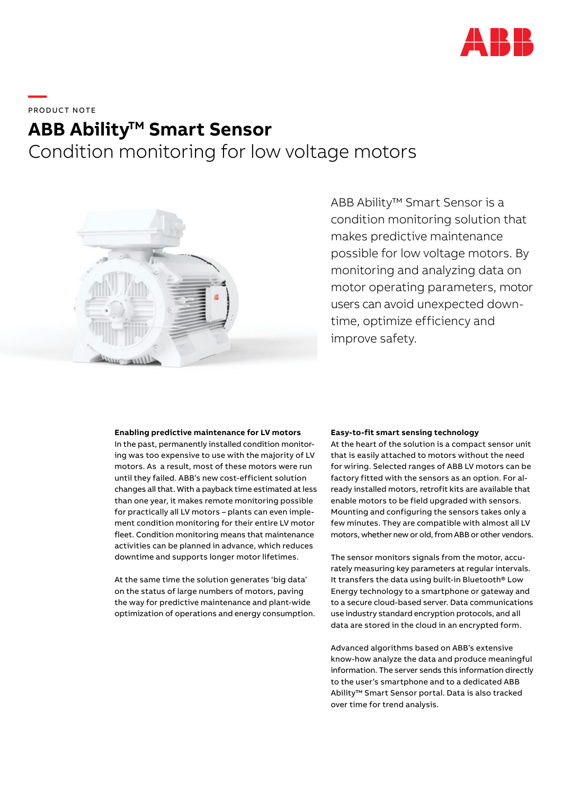

**—**  PRODUCT NOTE

# **ABB Ability<sup>™</sup> Smart Sensor** Condition monitoring for low voltage motors



ABB Ability™ Smart Sensor is a condition monitoring solution that makes predictive maintenance possible for low voltage motors. By monitoring and analyzing data on motor operating parameters, motor users can avoid unexpected downtime, optimize efficiency and improve safety.

## **Enabling predictive maintenance for LV motors**

In the past, permanently installed condition monitoring was too expensive to use with the majority of LV motors. As a result, most of these motors were run until they failed. ABB's new cost-efficient solution changes all that. With a payback time estimated at less than one year, it makes remote monitoring possible for practically all LV motors – plants can even implement condition monitoring for their entire LV motor fleet. Condition monitoring means that maintenance activities can be planned in advance, which reduces downtime and supports longer motor lifetimes.

At the same time the solution generates 'big data' on the status of large numbers of motors, paving the way for predictive maintenance and plant-wide optimization of operations and energy consumption.

## **Easy-to-fit smart sensing technology**

At the heart of the solution is a compact sensor unit that is easily attached to motors without the need for wiring. Selected ranges of ABB LV motors can be factory fitted with the sensors as an option. For already installed motors, retrofit kits are available that enable motors to be field upgraded with sensors. Mounting and configuring the sensors takes only a few minutes. They are compatible with almost all LV motors, whether new or old, from ABB or other vendors.

The sensor monitors signals from the motor, accurately measuring key parameters at regular intervals. It transfers the data using built-in Bluetooth® Low Energy technology to a smartphone or gateway and to a secure cloud-based server. Data communications use industry standard encryption protocols, and all data are stored in the cloud in an encrypted form.

Advanced algorithms based on ABB's extensive know-how analyze the data and produce meaningful information. The server sends this information directly to the user's smartphone and to a dedicated ABB Ability™ Smart Sensor portal. Data is also tracked over time for trend analysis.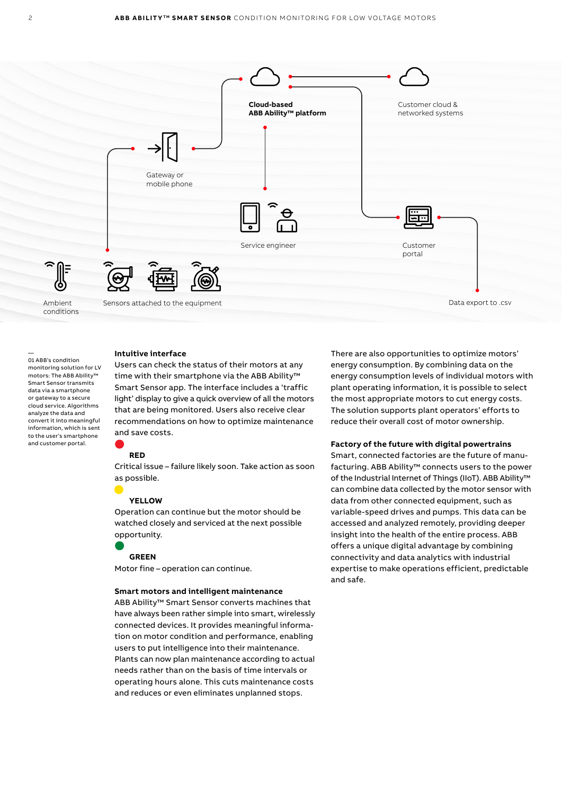

## **Intuitive interface**

Users can check the status of their motors at any time with their smartphone via the ABB Ability<sup>™</sup> Smart Sensor app. The interface includes a 'traffic light' display to give a quick overview of all the motors that are being monitored. Users also receive clear recommendations on how to optimize maintenance and save costs.

## **RED**

Critical issue – failure likely soon. Take action as soon as possible.

# **YELLOW**

Operation can continue but the motor should be watched closely and serviced at the next possible opportunity.

## **GREEN**

Motor fine – operation can continue.

## **Smart motors and intelligent maintenance**

ABB Ability™ Smart Sensor converts machines that have always been rather simple into smart, wirelessly connected devices. It provides meaningful information on motor condition and performance, enabling users to put intelligence into their maintenance. Plants can now plan maintenance according to actual needs rather than on the basis of time intervals or operating hours alone. This cuts maintenance costs and reduces or even eliminates unplanned stops.

There are also opportunities to optimize motors' energy consumption. By combining data on the energy consumption levels of individual motors with plant operating information, it is possible to select the most appropriate motors to cut energy costs. The solution supports plant operators' efforts to reduce their overall cost of motor ownership.

#### **Factory of the future with digital powertrains**

Smart, connected factories are the future of manufacturing. ABB Ability™ connects users to the power of the Industrial Internet of Things (IIoT). ABB Ability™ can combine data collected by the motor sensor with data from other connected equipment, such as variable-speed drives and pumps. This data can be accessed and analyzed remotely, providing deeper insight into the health of the entire process. ABB offers a unique digital advantage by combining connectivity and data analytics with industrial expertise to make operations efficient, predictable and safe.

—

01 ABB's condition monitoring solution for LV motors: The ABB Ability™ Smart Sensor transmits data via a smartphone or gateway to a secure cloud service. Algorithms analyze the data and convert it into meaningful information, which is sent to the user's smartphone and customer portal.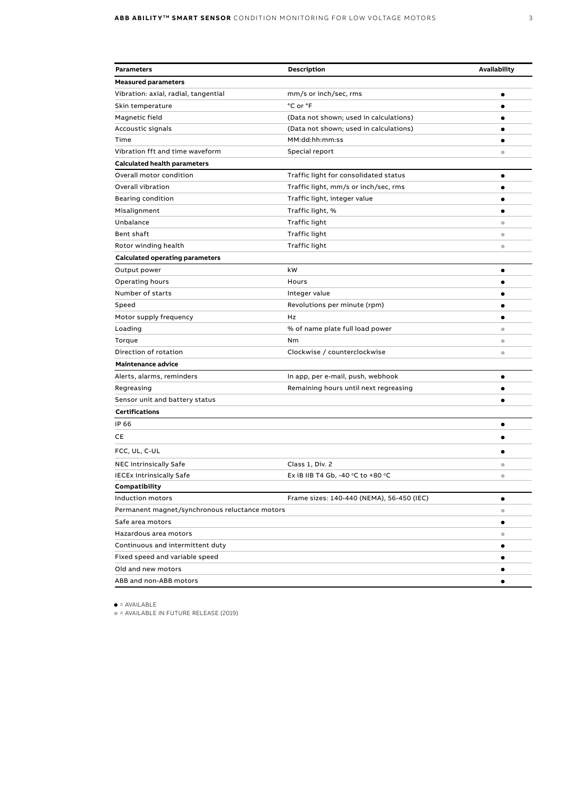| <b>Parameters</b>                              | <b>Description</b>                                  | Availability            |
|------------------------------------------------|-----------------------------------------------------|-------------------------|
| <b>Measured parameters</b>                     |                                                     |                         |
| Vibration: axial, radial, tangential           | mm/s or inch/sec, rms                               | ٠                       |
| Skin temperature                               | °C or °F                                            |                         |
| Magnetic field                                 | (Data not shown; used in calculations)              |                         |
| Accoustic signals                              | (Data not shown; used in calculations)              |                         |
| Time                                           | MM:dd:hh:mm:ss                                      | ٠                       |
| Vibration fft and time waveform                | Special report                                      | ۰                       |
| <b>Calculated health parameters</b>            |                                                     |                         |
| Overall motor condition                        | Traffic light for consolidated status               | $\bullet$               |
| Overall vibration                              | Traffic light, mm/s or inch/sec, rms                | ٠                       |
| Bearing condition                              | Traffic light, integer value                        | ٠                       |
| Misalignment                                   | Traffic light, %                                    | ٠                       |
| Unbalance                                      | Traffic light                                       | ۰                       |
| Bent shaft                                     | Traffic light                                       | $\bullet$               |
| Rotor winding health                           | Traffic light                                       | $\qquad \qquad \bullet$ |
| <b>Calculated operating parameters</b>         |                                                     |                         |
| Output power                                   | kW                                                  | ٠                       |
| Operating hours                                | Hours                                               | ٠                       |
| Number of starts                               | Integer value                                       |                         |
| Speed                                          | Revolutions per minute (rpm)                        |                         |
| Motor supply frequency                         | Hz                                                  |                         |
| Loading                                        | % of name plate full load power                     | $\bullet$               |
| Torque                                         | Nm                                                  | $\bullet$               |
| Direction of rotation                          | Clockwise / counterclockwise                        | ۰                       |
| Maintenance advice                             |                                                     |                         |
| Alerts, alarms, reminders                      | In app, per e-mail, push, webhook                   | ٠                       |
| Regreasing                                     | Remaining hours until next regreasing               | ٠                       |
| Sensor unit and battery status                 |                                                     |                         |
| <b>Certifications</b>                          |                                                     |                         |
| IP 66                                          |                                                     | ٠                       |
| CЕ                                             |                                                     |                         |
| FCC, UL, C-UL                                  |                                                     |                         |
| NEC Intrinsically Safe                         | Class 1, Div. 2                                     | $\bullet$               |
| <b>IECEx Intrinsically Safe</b>                | Ex iB IIB T4 Gb, -40 $\degree$ C to +80 $\degree$ C | $\bullet$               |
| Compatibility                                  |                                                     |                         |
| Induction motors                               | Frame sizes: 140-440 (NEMA), 56-450 (IEC)           | $\bullet$               |
| Permanent magnet/synchronous reluctance motors |                                                     | ۰                       |
| Safe area motors                               |                                                     |                         |
| Hazardous area motors                          |                                                     | ۰                       |
| Continuous and intermittent duty               |                                                     |                         |
| Fixed speed and variable speed                 |                                                     |                         |
| Old and new motors                             |                                                     |                         |
| ABB and non-ABB motors                         |                                                     |                         |

 $\bullet$  = AVAILABLE

• = AVAILABLE IN FUTURE RELEASE (2019)